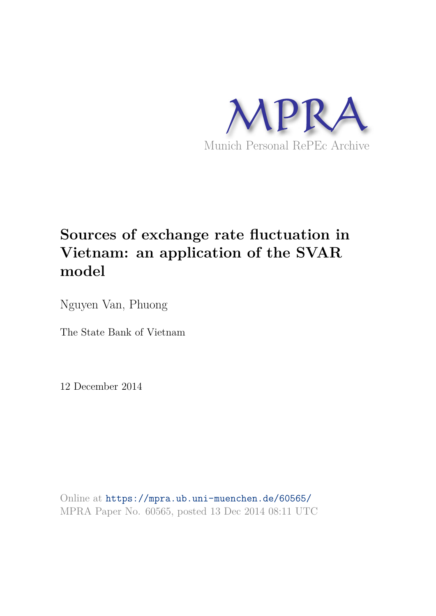

# **Sources of exchange rate fluctuation in Vietnam: an application of the SVAR model**

Nguyen Van, Phuong

The State Bank of Vietnam

12 December 2014

Online at https://mpra.ub.uni-muenchen.de/60565/ MPRA Paper No. 60565, posted 13 Dec 2014 08:11 UTC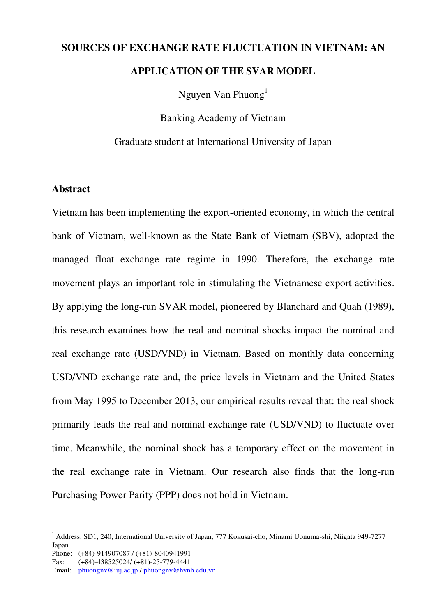# **SOURCES OF EXCHANGE RATE FLUCTUATION IN VIETNAM: AN APPLICATION OF THE SVAR MODEL**

Nguyen Van Phuong<sup>1</sup>

Banking Academy of Vietnam

Graduate student at International University of Japan

## **Abstract**

Vietnam has been implementing the export-oriented economy, in which the central bank of Vietnam, well-known as the State Bank of Vietnam (SBV), adopted the managed float exchange rate regime in 1990. Therefore, the exchange rate movement plays an important role in stimulating the Vietnamese export activities. By applying the long-run SVAR model, pioneered by Blanchard and Quah (1989), this research examines how the real and nominal shocks impact the nominal and real exchange rate (USD/VND) in Vietnam. Based on monthly data concerning USD/VND exchange rate and, the price levels in Vietnam and the United States from May 1995 to December 2013, our empirical results reveal that: the real shock primarily leads the real and nominal exchange rate (USD/VND) to fluctuate over time. Meanwhile, the nominal shock has a temporary effect on the movement in the real exchange rate in Vietnam. Our research also finds that the long-run Purchasing Power Parity (PPP) does not hold in Vietnam.

 $\overline{a}$ 

<sup>1</sup> Address: SD1, 240, International University of Japan, 777 Kokusai-cho, Minami Uonuma-shi, Niigata 949-7277 Japan

Phone: (+84)-914907087 / (+81)-8040941991

Fax: (+84)-438525024/ (+81)-25-779-4441

Email: [phuongnv@iuj.ac.jp](mailto:phuongnv@iuj.ac.jp) / [phuongnv@hvnh.edu.vn](mailto:phuongnv@hvnh.edu.vn)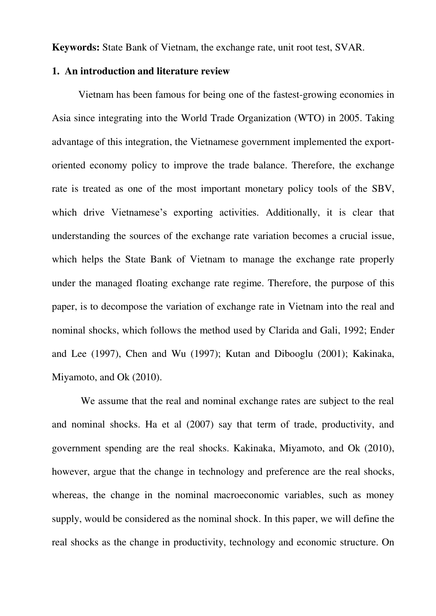**Keywords:** State Bank of Vietnam, the exchange rate, unit root test, SVAR.

## **1. An introduction and literature review**

Vietnam has been famous for being one of the fastest-growing economies in Asia since integrating into the World Trade Organization (WTO) in 2005. Taking advantage of this integration, the Vietnamese government implemented the exportoriented economy policy to improve the trade balance. Therefore, the exchange rate is treated as one of the most important monetary policy tools of the SBV, which drive Vietnamese's exporting activities. Additionally, it is clear that understanding the sources of the exchange rate variation becomes a crucial issue, which helps the State Bank of Vietnam to manage the exchange rate properly under the managed floating exchange rate regime. Therefore, the purpose of this paper, is to decompose the variation of exchange rate in Vietnam into the real and nominal shocks, which follows the method used by Clarida and Gali, 1992; Ender and Lee (1997), Chen and Wu (1997); Kutan and Dibooglu (2001); Kakinaka, Miyamoto, and Ok (2010).

 We assume that the real and nominal exchange rates are subject to the real and nominal shocks. Ha et al (2007) say that term of trade, productivity, and government spending are the real shocks. Kakinaka, Miyamoto, and Ok (2010), however, argue that the change in technology and preference are the real shocks, whereas, the change in the nominal macroeconomic variables, such as money supply, would be considered as the nominal shock. In this paper, we will define the real shocks as the change in productivity, technology and economic structure. On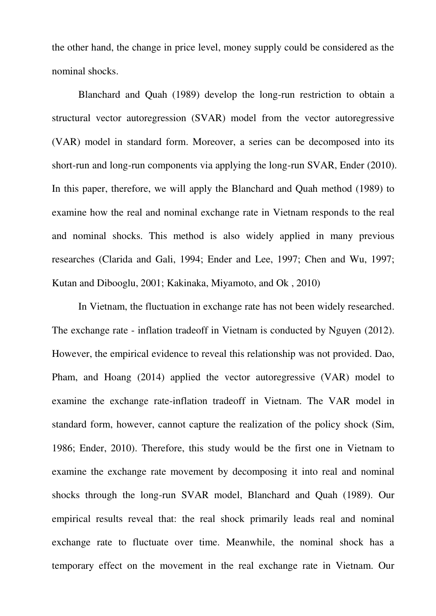the other hand, the change in price level, money supply could be considered as the nominal shocks.

Blanchard and Quah (1989) develop the long-run restriction to obtain a structural vector autoregression (SVAR) model from the vector autoregressive (VAR) model in standard form. Moreover, a series can be decomposed into its short-run and long-run components via applying the long-run SVAR, Ender (2010). In this paper, therefore, we will apply the Blanchard and Quah method (1989) to examine how the real and nominal exchange rate in Vietnam responds to the real and nominal shocks. This method is also widely applied in many previous researches (Clarida and Gali, 1994; Ender and Lee, 1997; Chen and Wu, 1997; Kutan and Dibooglu, 2001; Kakinaka, Miyamoto, and Ok , 2010)

In Vietnam, the fluctuation in exchange rate has not been widely researched. The exchange rate - inflation tradeoff in Vietnam is conducted by Nguyen (2012). However, the empirical evidence to reveal this relationship was not provided. Dao, Pham, and Hoang (2014) applied the vector autoregressive (VAR) model to examine the exchange rate-inflation tradeoff in Vietnam. The VAR model in standard form, however, cannot capture the realization of the policy shock (Sim, 1986; Ender, 2010). Therefore, this study would be the first one in Vietnam to examine the exchange rate movement by decomposing it into real and nominal shocks through the long-run SVAR model, Blanchard and Quah (1989). Our empirical results reveal that: the real shock primarily leads real and nominal exchange rate to fluctuate over time. Meanwhile, the nominal shock has a temporary effect on the movement in the real exchange rate in Vietnam. Our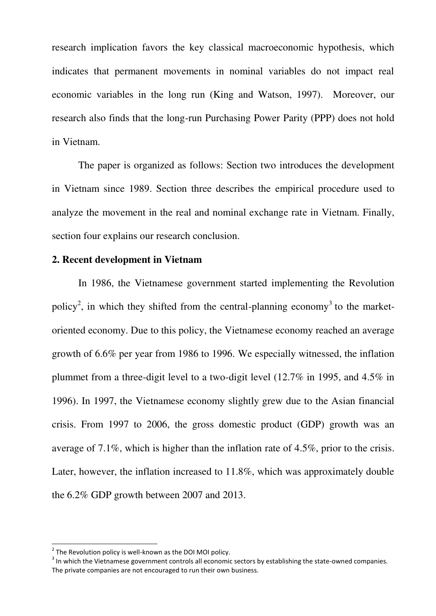research implication favors the key classical macroeconomic hypothesis, which indicates that permanent movements in nominal variables do not impact real economic variables in the long run (King and Watson, 1997). Moreover, our research also finds that the long-run Purchasing Power Parity (PPP) does not hold in Vietnam.

The paper is organized as follows: Section two introduces the development in Vietnam since 1989. Section three describes the empirical procedure used to analyze the movement in the real and nominal exchange rate in Vietnam. Finally, section four explains our research conclusion.

#### **2. Recent development in Vietnam**

In 1986, the Vietnamese government started implementing the Revolution policy<sup>2</sup>, in which they shifted from the central-planning economy<sup>3</sup> to the marketoriented economy. Due to this policy, the Vietnamese economy reached an average growth of 6.6% per year from 1986 to 1996. We especially witnessed, the inflation plummet from a three-digit level to a two-digit level (12.7% in 1995, and 4.5% in 1996). In 1997, the Vietnamese economy slightly grew due to the Asian financial crisis. From 1997 to 2006, the gross domestic product (GDP) growth was an average of 7.1%, which is higher than the inflation rate of 4.5%, prior to the crisis. Later, however, the inflation increased to 11.8%, which was approximately double the 6.2% GDP growth between 2007 and 2013.

l

 $2$  The Revolution policy is well-known as the DOI MOI policy.

 $3$  In which the Vietnamese government controls all economic sectors by establishing the state-owned companies. The private companies are not encouraged to run their own business.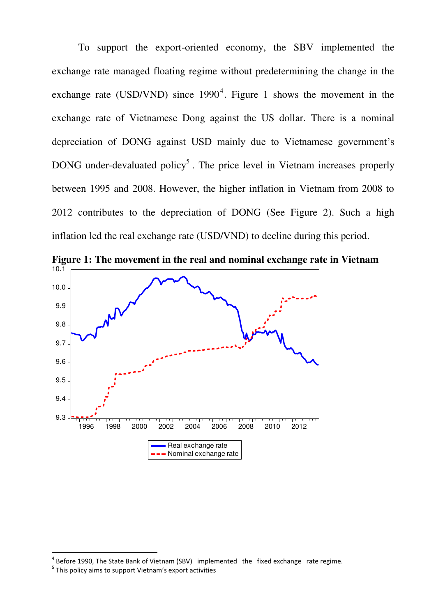To support the export-oriented economy, the SBV implemented the exchange rate managed floating regime without predetermining the change in the exchange rate (USD/VND) since  $1990^4$ . Figure 1 shows the movement in the exchange rate of Vietnamese Dong against the US dollar. There is a nominal depreciation of DONG against USD mainly due to Vietnamese government's DONG under-devaluated policy<sup>5</sup>. The price level in Vietnam increases properly between 1995 and 2008. However, the higher inflation in Vietnam from 2008 to 2012 contributes to the depreciation of DONG (See Figure 2). Such a high inflation led the real exchange rate (USD/VND) to decline during this period.



**Figure 1: The movement in the real and nominal exchange rate in Vietnam**

 $\overline{a}$ 

 $4$  Before 1990, The State Bank of Vietnam (SBV) implemented the fixed exchange rate regime.

<sup>&</sup>lt;sup>5</sup> This policy aims to support Vietnam's export activities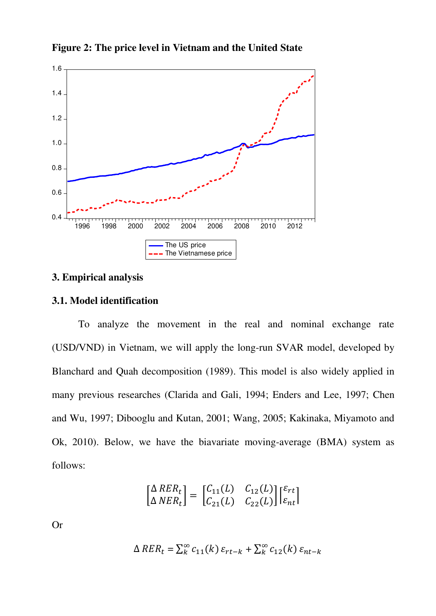

**Figure 2: The price level in Vietnam and the United State** 

## **3. Empirical analysis**

## **3.1. Model identification**

To analyze the movement in the real and nominal exchange rate (USD/VND) in Vietnam, we will apply the long-run SVAR model, developed by Blanchard and Quah decomposition (1989). This model is also widely applied in many previous researches (Clarida and Gali, 1994; Enders and Lee, 1997; Chen and Wu, 1997; Dibooglu and Kutan, 2001; Wang, 2005; Kakinaka, Miyamoto and Ok, 2010). Below, we have the biavariate moving-average (BMA) system as follows:

$$
\begin{bmatrix}\n\Delta \, RER_t \\
\Delta \, NER_t\n\end{bmatrix} = \begin{bmatrix}\nC_{11}(L) & C_{12}(L) \\
C_{21}(L) & C_{22}(L)\n\end{bmatrix} \begin{bmatrix}\n\varepsilon_{rt} \\
\varepsilon_{nt}\n\end{bmatrix}
$$

Or

$$
\Delta RER_t = \sum_{k=0}^{\infty} c_{11}(k) \varepsilon_{rt-k} + \sum_{k=0}^{\infty} c_{12}(k) \varepsilon_{nt-k}
$$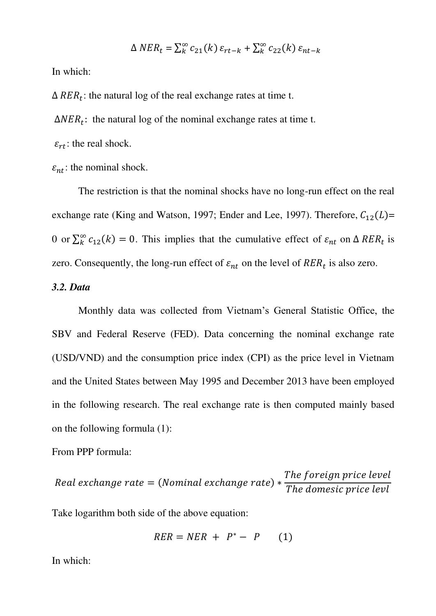$$
\Delta NER_t = \sum_{k=0}^{\infty} c_{21}(k) \varepsilon_{rt-k} + \sum_{k=0}^{\infty} c_{22}(k) \varepsilon_{nt-k}
$$

In which:

 $\Delta RER_t$ : the natural log of the real exchange rates at time t.

 $\Delta NER_t$ : the natural log of the nominal exchange rates at time t.

 $\varepsilon_{rt}$ : the real shock.

 $\varepsilon_{nt}$ : the nominal shock.

The restriction is that the nominal shocks have no long-run effect on the real exchange rate (King and Watson, 1997; Ender and Lee, 1997). Therefore,  $C_{12}(L)$ = 0 or  $\sum_{k}^{\infty} c_{12}(k) = 0$ . This implies that the cumulative effect of  $\varepsilon_{nt}$  on  $\Delta R E R_t$  is zero. Consequently, the long-run effect of  $\varepsilon_{nt}$  on the level of  $RER_t$  is also zero.

# *3.2. Data*

Monthly data was collected from Vietnam's General Statistic Office, the SBV and Federal Reserve (FED). Data concerning the nominal exchange rate (USD/VND) and the consumption price index (CPI) as the price level in Vietnam and the United States between May 1995 and December 2013 have been employed in the following research. The real exchange rate is then computed mainly based on the following formula (1):

### From PPP formula:

 $\boldsymbol{R}$  $\overline{T}$  $\overline{T}$ 

Take logarithm both side of the above equation:

$$
RER = NER + P^* - P \qquad (1)
$$

In which: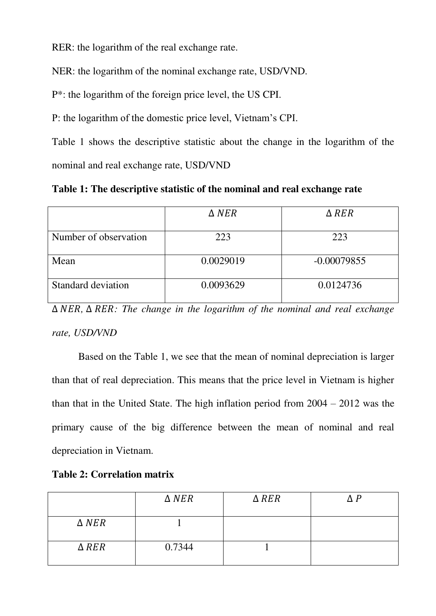RER: the logarithm of the real exchange rate.

NER: the logarithm of the nominal exchange rate, USD/VND.

P\*: the logarithm of the foreign price level, the US CPI.

P: the logarithm of the domestic price level, Vietnam's CPI.

Table 1 shows the descriptive statistic about the change in the logarithm of the nominal and real exchange rate, USD/VND

**Table 1: The descriptive statistic of the nominal and real exchange rate** 

|                       | $\triangle$ NER | $\triangle$ RER |
|-----------------------|-----------------|-----------------|
| Number of observation | 223             | 223             |
| Mean                  | 0.0029019       | $-0.00079855$   |
| Standard deviation    | 0.0093629       | 0.0124736       |

 $\triangle$  *NER*,  $\triangle$  *RER: The change in the logarithm of the nominal and real exchange rate, USD/VND* 

Based on the Table 1, we see that the mean of nominal depreciation is larger than that of real depreciation. This means that the price level in Vietnam is higher than that in the United State. The high inflation period from 2004 – 2012 was the primary cause of the big difference between the mean of nominal and real depreciation in Vietnam.

|  | <b>Table 2: Correlation matrix</b> |  |
|--|------------------------------------|--|
|--|------------------------------------|--|

|                 | $\triangle$ NER | $\triangle$ RER | ΛP |
|-----------------|-----------------|-----------------|----|
| $\triangle$ NER |                 |                 |    |
| $\triangle$ RER | 0.7344          |                 |    |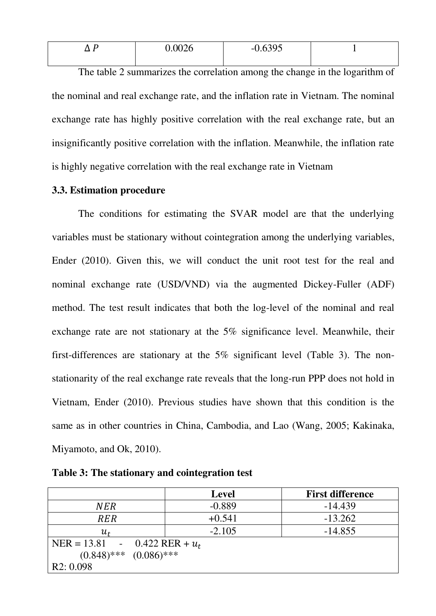| Ð<br>└<br>$ -$ | $^{\circ}$ 0026<br>,∪∪∠∪ | 2005<br>--<br>ノン |  |
|----------------|--------------------------|------------------|--|
|                |                          |                  |  |

The table 2 summarizes the correlation among the change in the logarithm of the nominal and real exchange rate, and the inflation rate in Vietnam. The nominal exchange rate has highly positive correlation with the real exchange rate, but an insignificantly positive correlation with the inflation. Meanwhile, the inflation rate is highly negative correlation with the real exchange rate in Vietnam

### **3.3. Estimation procedure**

 The conditions for estimating the SVAR model are that the underlying variables must be stationary without cointegration among the underlying variables, Ender (2010). Given this, we will conduct the unit root test for the real and nominal exchange rate (USD/VND) via the augmented Dickey-Fuller (ADF) method. The test result indicates that both the log-level of the nominal and real exchange rate are not stationary at the 5% significance level. Meanwhile, their first-differences are stationary at the 5% significant level (Table 3). The nonstationarity of the real exchange rate reveals that the long-run PPP does not hold in Vietnam, Ender (2010). Previous studies have shown that this condition is the same as in other countries in China, Cambodia, and Lao (Wang, 2005; Kakinaka, Miyamoto, and Ok, 2010).

|                                | <b>Level</b>      | <b>First difference</b> |
|--------------------------------|-------------------|-------------------------|
| NER                            | $-0.889$          | $-14.439$               |
| <b>RER</b>                     | $+0.541$          | $-13.262$               |
| $u_{\rm \scriptscriptstyle f}$ | $-2.105$          | $-14.855$               |
| $NER = 13.81 -$                | 0.422 RER + $u_t$ |                         |
| $(0.848)$ *** $(0.086)$ ***    |                   |                         |
| R2: 0.098                      |                   |                         |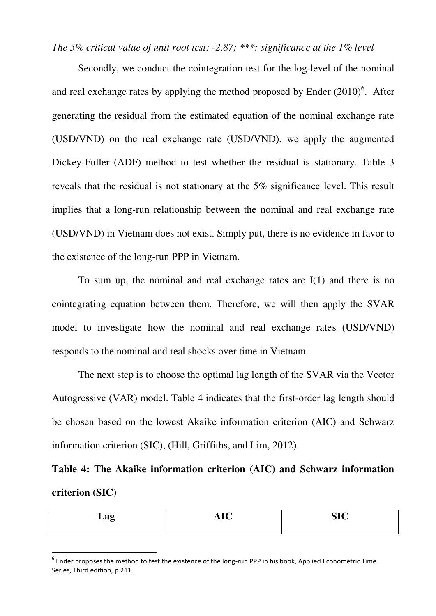*The 5% critical value of unit root test: -2.87; \*\*\*: significance at the 1% level* 

Secondly, we conduct the cointegration test for the log-level of the nominal and real exchange rates by applying the method proposed by Ender  $(2010)^6$ . After generating the residual from the estimated equation of the nominal exchange rate (USD/VND) on the real exchange rate (USD/VND), we apply the augmented Dickey-Fuller (ADF) method to test whether the residual is stationary. Table 3 reveals that the residual is not stationary at the 5% significance level. This result implies that a long-run relationship between the nominal and real exchange rate (USD/VND) in Vietnam does not exist. Simply put, there is no evidence in favor to the existence of the long-run PPP in Vietnam.

To sum up, the nominal and real exchange rates are I(1) and there is no cointegrating equation between them. Therefore, we will then apply the SVAR model to investigate how the nominal and real exchange rates (USD/VND) responds to the nominal and real shocks over time in Vietnam.

The next step is to choose the optimal lag length of the SVAR via the Vector Autogressive (VAR) model. Table 4 indicates that the first-order lag length should be chosen based on the lowest Akaike information criterion (AIC) and Schwarz information criterion (SIC), (Hill, Griffiths, and Lim, 2012).

**Table 4: The Akaike information criterion (AIC) and Schwarz information criterion (SIC)** 

| ு<br><b>1149</b><br>- | - -<br>__ | $\sim$ $\sim$ |
|-----------------------|-----------|---------------|
|                       |           |               |

 $^6$  Ender proposes the method to test the existence of the long-run PPP in his book, Applied Econometric Time Series, Third edition, p.211.

 $\overline{a}$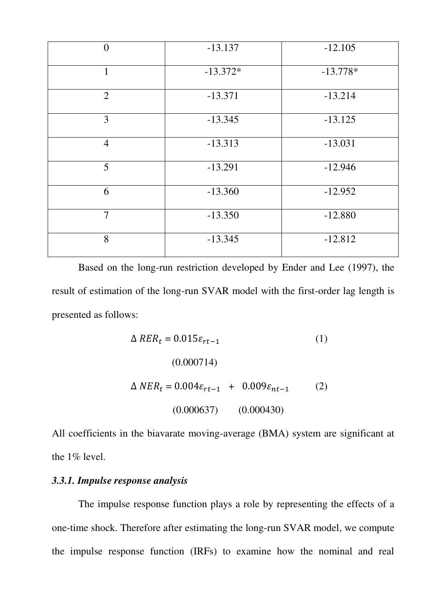| $\overline{0}$ | $-13.137$  | $-12.105$  |
|----------------|------------|------------|
| $\mathbf{1}$   | $-13.372*$ | $-13.778*$ |
| $\overline{2}$ | $-13.371$  | $-13.214$  |
| 3              | $-13.345$  | $-13.125$  |
| $\overline{4}$ | $-13.313$  | $-13.031$  |
| 5              | $-13.291$  | $-12.946$  |
| 6              | $-13.360$  | $-12.952$  |
| $\overline{7}$ | $-13.350$  | $-12.880$  |
| 8              | $-13.345$  | $-12.812$  |

Based on the long-run restriction developed by Ender and Lee (1997), the result of estimation of the long-run SVAR model with the first-order lag length is presented as follows:

$$
\Delta RER_t = 0.015\varepsilon_{rt-1}
$$
\n(1)  
\n(0.000714)  
\n
$$
\Delta NER_t = 0.004\varepsilon_{rt-1} + 0.009\varepsilon_{nt-1}
$$
\n(2)  
\n(0.000637) (0.000430)

All coefficients in the biavarate moving-average (BMA) system are significant at the 1% level.

# *3.3.1. Impulse response analysis*

The impulse response function plays a role by representing the effects of a one-time shock. Therefore after estimating the long-run SVAR model, we compute the impulse response function (IRFs) to examine how the nominal and real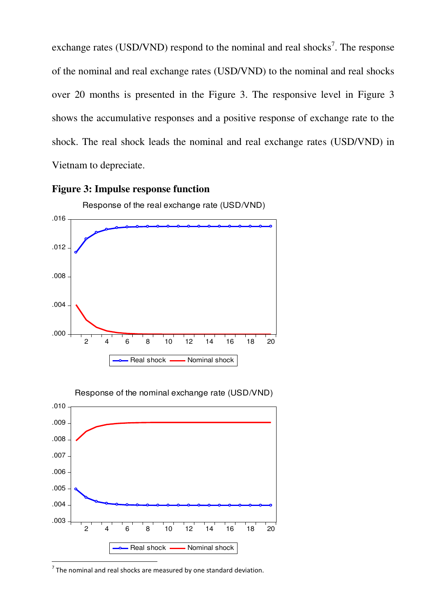exchange rates (USD/VND) respond to the nominal and real shocks<sup>7</sup>. The response of the nominal and real exchange rates (USD/VND) to the nominal and real shocks over 20 months is presented in the Figure 3. The responsive level in Figure 3 shows the accumulative responses and a positive response of exchange rate to the shock. The real shock leads the nominal and real exchange rates (USD/VND) in Vietnam to depreciate.







Response of the nominal exchange rate (USD/VND)

 $<sup>7</sup>$  The nominal and real shocks are measured by one standard deviation.</sup>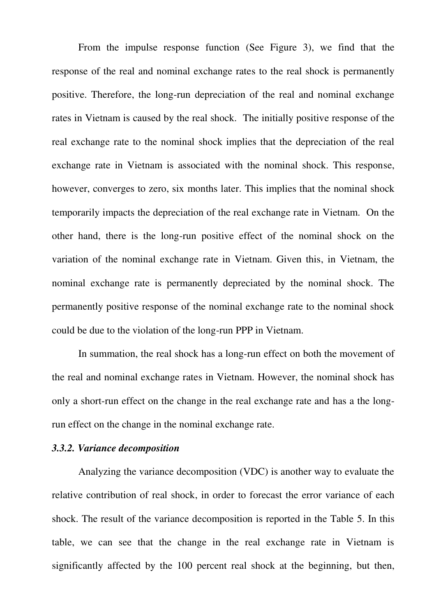From the impulse response function (See Figure 3), we find that the response of the real and nominal exchange rates to the real shock is permanently positive. Therefore, the long-run depreciation of the real and nominal exchange rates in Vietnam is caused by the real shock. The initially positive response of the real exchange rate to the nominal shock implies that the depreciation of the real exchange rate in Vietnam is associated with the nominal shock. This response, however, converges to zero, six months later. This implies that the nominal shock temporarily impacts the depreciation of the real exchange rate in Vietnam. On the other hand, there is the long-run positive effect of the nominal shock on the variation of the nominal exchange rate in Vietnam. Given this, in Vietnam, the nominal exchange rate is permanently depreciated by the nominal shock. The permanently positive response of the nominal exchange rate to the nominal shock could be due to the violation of the long-run PPP in Vietnam.

In summation, the real shock has a long-run effect on both the movement of the real and nominal exchange rates in Vietnam. However, the nominal shock has only a short-run effect on the change in the real exchange rate and has a the longrun effect on the change in the nominal exchange rate.

#### *3.3.2. Variance decomposition*

Analyzing the variance decomposition (VDC) is another way to evaluate the relative contribution of real shock, in order to forecast the error variance of each shock. The result of the variance decomposition is reported in the Table 5. In this table, we can see that the change in the real exchange rate in Vietnam is significantly affected by the 100 percent real shock at the beginning, but then,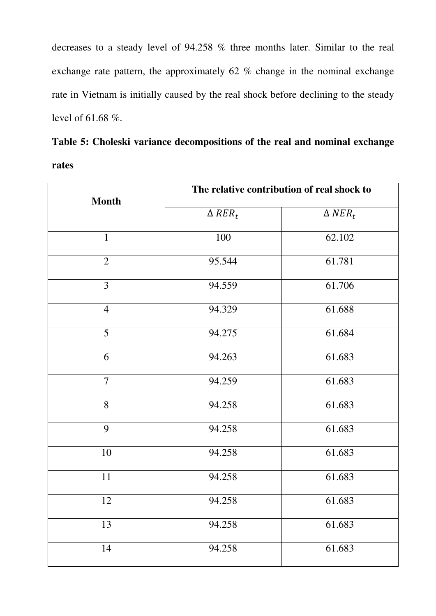decreases to a steady level of 94.258 % three months later. Similar to the real exchange rate pattern, the approximately 62 % change in the nominal exchange rate in Vietnam is initially caused by the real shock before declining to the steady level of 61.68 %.

|       |  | Table 5: Choleski variance decompositions of the real and nominal exchange |  |  |
|-------|--|----------------------------------------------------------------------------|--|--|
| rates |  |                                                                            |  |  |

|                | The relative contribution of real shock to |                              |  |
|----------------|--------------------------------------------|------------------------------|--|
| <b>Month</b>   | $\triangle$ RER <sub>t</sub>               | $\triangle$ NER <sub>t</sub> |  |
| $\mathbf{1}$   | 100                                        | 62.102                       |  |
| $\overline{2}$ | 95.544                                     | 61.781                       |  |
| $\overline{3}$ | 94.559                                     | 61.706                       |  |
| $\overline{4}$ | 94.329                                     | 61.688                       |  |
| 5              | 94.275                                     | 61.684                       |  |
| 6              | 94.263                                     | 61.683                       |  |
| $\overline{7}$ | 94.259                                     | 61.683                       |  |
| 8              | 94.258                                     | 61.683                       |  |
| 9              | 94.258                                     | 61.683                       |  |
| 10             | 94.258                                     | 61.683                       |  |
| 11             | 94.258                                     | 61.683                       |  |
| 12             | 94.258                                     | 61.683                       |  |
| 13             | 94.258                                     | 61.683                       |  |
| 14             | 94.258                                     | 61.683                       |  |
|                |                                            |                              |  |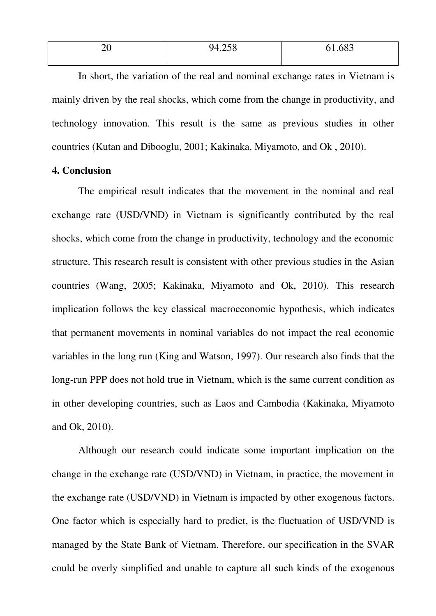| $\overline{\phantom{0}}$<br>__ | $\sim$ $\sim$ $\sim$<br>QД<br>$\cdot$ $\sim$ $\circ$ | د ہے<br>$000$ . |
|--------------------------------|------------------------------------------------------|-----------------|
|                                |                                                      |                 |

 In short, the variation of the real and nominal exchange rates in Vietnam is mainly driven by the real shocks, which come from the change in productivity, and technology innovation. This result is the same as previous studies in other countries (Kutan and Dibooglu, 2001; Kakinaka, Miyamoto, and Ok , 2010).

### **4. Conclusion**

The empirical result indicates that the movement in the nominal and real exchange rate (USD/VND) in Vietnam is significantly contributed by the real shocks, which come from the change in productivity, technology and the economic structure. This research result is consistent with other previous studies in the Asian countries (Wang, 2005; Kakinaka, Miyamoto and Ok, 2010). This research implication follows the key classical macroeconomic hypothesis, which indicates that permanent movements in nominal variables do not impact the real economic variables in the long run (King and Watson, 1997). Our research also finds that the long-run PPP does not hold true in Vietnam, which is the same current condition as in other developing countries, such as Laos and Cambodia (Kakinaka, Miyamoto and Ok, 2010).

Although our research could indicate some important implication on the change in the exchange rate (USD/VND) in Vietnam, in practice, the movement in the exchange rate (USD/VND) in Vietnam is impacted by other exogenous factors. One factor which is especially hard to predict, is the fluctuation of USD/VND is managed by the State Bank of Vietnam. Therefore, our specification in the SVAR could be overly simplified and unable to capture all such kinds of the exogenous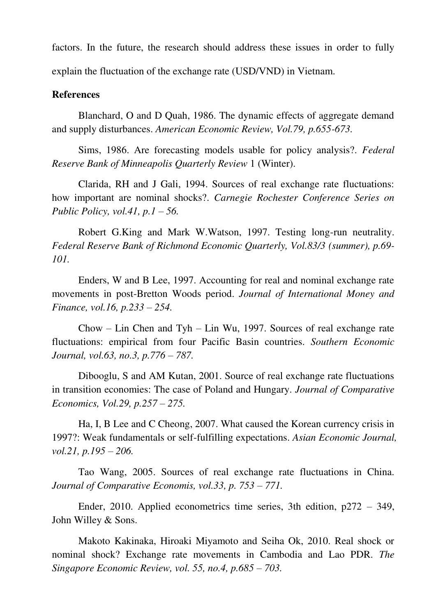factors. In the future, the research should address these issues in order to fully explain the fluctuation of the exchange rate (USD/VND) in Vietnam.

## **References**

Blanchard, O and D Quah, 1986. The dynamic effects of aggregate demand and supply disturbances. *American Economic Review, Vol.79, p.655-673.* 

Sims, 1986. Are forecasting models usable for policy analysis?. *Federal Reserve Bank of Minneapolis Quarterly Review* 1 (Winter).

Clarida, RH and J Gali, 1994. Sources of real exchange rate fluctuations: how important are nominal shocks?. *Carnegie Rochester Conference Series on Public Policy, vol.41, p.1 – 56.* 

Robert G.King and Mark W.Watson, 1997. Testing long-run neutrality. *Federal Reserve Bank of Richmond Economic Quarterly, Vol.83/3 (summer), p.69- 101.* 

Enders, W and B Lee, 1997. Accounting for real and nominal exchange rate movements in post-Bretton Woods period. *Journal of International Money and Finance, vol.16, p.233 – 254.* 

Chow – Lin Chen and Tyh – Lin Wu, 1997. Sources of real exchange rate fluctuations: empirical from four Pacific Basin countries. *Southern Economic Journal, vol.63, no.3, p.776 – 787.* 

Dibooglu, S and AM Kutan, 2001. Source of real exchange rate fluctuations in transition economies: The case of Poland and Hungary. *Journal of Comparative Economics, Vol.29, p.257 – 275.* 

Ha, I, B Lee and C Cheong, 2007. What caused the Korean currency crisis in 1997?: Weak fundamentals or self-fulfilling expectations. *Asian Economic Journal, vol.21, p.195 – 206.* 

Tao Wang, 2005. Sources of real exchange rate fluctuations in China. *Journal of Comparative Economis, vol.33, p. 753 – 771.* 

Ender, 2010. Applied econometrics time series, 3th edition, p272 – 349, John Willey & Sons.

Makoto Kakinaka, Hiroaki Miyamoto and Seiha Ok, 2010. Real shock or nominal shock? Exchange rate movements in Cambodia and Lao PDR. *The Singapore Economic Review, vol. 55, no.4, p.685 – 703.*